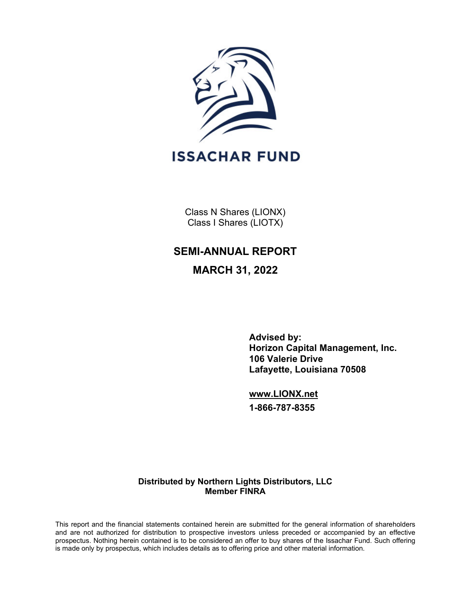

Class N Shares (LIONX) Class I Shares (LIOTX)

# **SEMI-ANNUAL REPORT**

## **MARCH 31, 2022**

**Advised by: Horizon Capital Management, Inc. 106 Valerie Drive Lafayette, Louisiana 70508**

**www.LIONX.net 1-866-787-8355**

## **Distributed by Northern Lights Distributors, LLC Member FINRA**

This report and the financial statements contained herein are submitted for the general information of shareholders and are not authorized for distribution to prospective investors unless preceded or accompanied by an effective prospectus. Nothing herein contained is to be considered an offer to buy shares of the Issachar Fund. Such offering is made only by prospectus, which includes details as to offering price and other material information.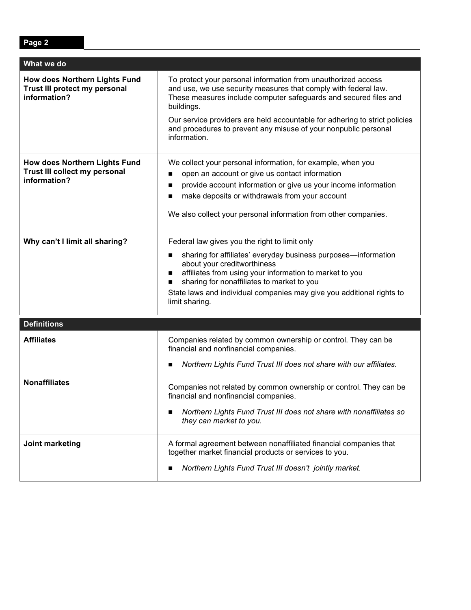| What we do                                                                     |                                                                                                                                                                                                                                                                                                                                                    |
|--------------------------------------------------------------------------------|----------------------------------------------------------------------------------------------------------------------------------------------------------------------------------------------------------------------------------------------------------------------------------------------------------------------------------------------------|
| How does Northern Lights Fund<br>Trust III protect my personal<br>information? | To protect your personal information from unauthorized access<br>and use, we use security measures that comply with federal law.<br>These measures include computer safeguards and secured files and<br>buildings.                                                                                                                                 |
|                                                                                | Our service providers are held accountable for adhering to strict policies<br>and procedures to prevent any misuse of your nonpublic personal<br>information.                                                                                                                                                                                      |
| How does Northern Lights Fund<br>Trust III collect my personal<br>information? | We collect your personal information, for example, when you<br>open an account or give us contact information<br>provide account information or give us your income information<br>make deposits or withdrawals from your account<br>We also collect your personal information from other companies.                                               |
| Why can't I limit all sharing?                                                 | Federal law gives you the right to limit only<br>sharing for affiliates' everyday business purposes-information<br>about your creditworthiness<br>affiliates from using your information to market to you<br>sharing for nonaffiliates to market to you<br>State laws and individual companies may give you additional rights to<br>limit sharing. |
| <b>Definitions</b>                                                             |                                                                                                                                                                                                                                                                                                                                                    |
| <b>Affiliates</b>                                                              | Companies related by common ownership or control. They can be<br>financial and nonfinancial companies.<br>Northern Lights Fund Trust III does not share with our affiliates.                                                                                                                                                                       |
| <b>Nonaffiliates</b>                                                           | Companies not related by common ownership or control. They can be<br>financial and nonfinancial companies.<br>Northern Lights Fund Trust III does not share with nonaffiliates so<br>they can market to you.                                                                                                                                       |
| Joint marketing                                                                | A formal agreement between nonaffiliated financial companies that<br>together market financial products or services to you.<br>Northern Lights Fund Trust III doesn't jointly market.                                                                                                                                                              |